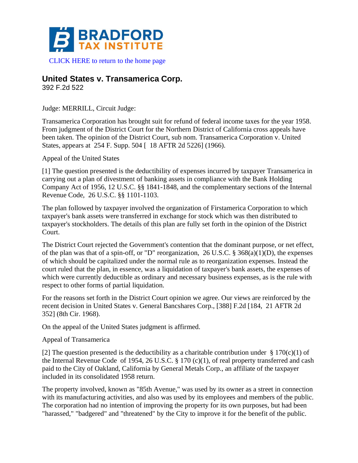

[CLICK HERE to return to the home page](http://www.bradfordtaxinstitute.com)

## **United States v. Transamerica Corp.**

392 F.2d 522

Judge: MERRILL, Circuit Judge:

Transamerica Corporation has brought suit for refund of federal income taxes for the year 1958. From judgment of the District Court for the Northern District of California cross appeals have been taken. The opinion of the District Court, sub nom. Transamerica Corporation v. United States, appears at 254 F. Supp. 504 [ 18 AFTR 2d 5226] (1966).

Appeal of the United States

[1] The question presented is the deductibility of expenses incurred by taxpayer Transamerica in carrying out a plan of divestment of banking assets in compliance with the Bank Holding Company Act of 1956, 12 U.S.C. §§ 1841-1848, and the complementary sections of the Internal Revenue Code, 26 U.S.C. §§ 1101-1103.

The plan followed by taxpayer involved the organization of Firstamerica Corporation to which taxpayer's bank assets were transferred in exchange for stock which was then distributed to taxpayer's stockholders. The details of this plan are fully set forth in the opinion of the District Court.

The District Court rejected the Government's contention that the dominant purpose, or net effect, of the plan was that of a spin-off, or "D" reorganization, 26 U.S.C. § 368(a)(1)(D), the expenses of which should be capitalized under the normal rule as to reorganization expenses. Instead the court ruled that the plan, in essence, was a liquidation of taxpayer's bank assets, the expenses of which were currently deductible as ordinary and necessary business expenses, as is the rule with respect to other forms of partial liquidation.

For the reasons set forth in the District Court opinion we agree. Our views are reinforced by the recent decision in United States v. General Bancshares Corp., [388] F.2d [184, 21 AFTR 2d 352] (8th Cir. 1968).

On the appeal of the United States judgment is affirmed.

Appeal of Transamerica

[2] The question presented is the deductibility as a charitable contribution under § 170(c)(1) of the Internal Revenue Code of 1954, 26 U.S.C. § 170 (c)(1), of real property transferred and cash paid to the City of Oakland, California by General Metals Corp., an affiliate of the taxpayer included in its consolidated 1958 return.

The property involved, known as "85th Avenue," was used by its owner as a street in connection with its manufacturing activities, and also was used by its employees and members of the public. The corporation had no intention of improving the property for its own purposes, but had been "harassed," "badgered" and "threatened" by the City to improve it for the benefit of the public.